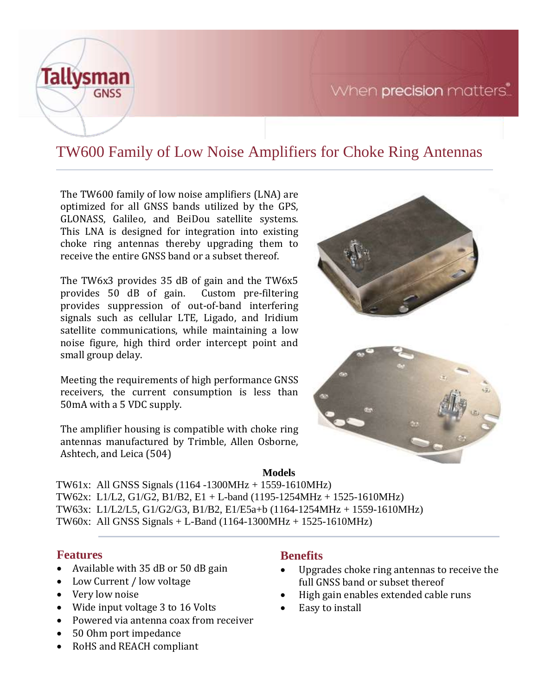



# TW600 Family of Low Noise Amplifiers for Choke Ring Antennas

The TW600 family of low noise amplifiers (LNA) are optimized for all GNSS bands utilized by the GPS, GLONASS, Galileo, and BeiDou satellite systems. This LNA is designed for integration into existing choke ring antennas thereby upgrading them to receive the entire GNSS band or a subset thereof.

The TW6x3 provides 35 dB of gain and the TW6x5 provides 50 dB of gain. Custom pre-filtering provides suppression of out-of-band interfering signals such as cellular LTE, Ligado, and Iridium satellite communications, while maintaining a low noise figure, high third order intercept point and small group delay.

Meeting the requirements of high performance GNSS receivers, the current consumption is less than 50mA with a 5 VDC supply.

The amplifier housing is compatible with choke ring antennas manufactured by Trimble, Allen Osborne, Ashtech, and Leica (504)





### **Models**

TW61x: All GNSS Signals (1164 -1300MHz + 1559-1610MHz) TW62x: L1/L2, G1/G2, B1/B2, E1 + L-band (1195-1254MHz + 1525-1610MHz) TW63x: L1/L2/L5, G1/G2/G3, B1/B2, E1/E5a+b (1164-1254MHz + 1559-1610MHz) TW60x: All GNSS Signals + L-Band (1164-1300MHz + 1525-1610MHz)

## **Features**

- Available with 35 dB or 50 dB gain
- Low Current / low voltage
- Very low noise
- Wide input voltage 3 to 16 Volts
- Powered via antenna coax from receiver
- 50 Ohm port impedance
- RoHS and REACH compliant

## **Benefits**

- Upgrades choke ring antennas to receive the full GNSS band or subset thereof
- High gain enables extended cable runs
- Easy to install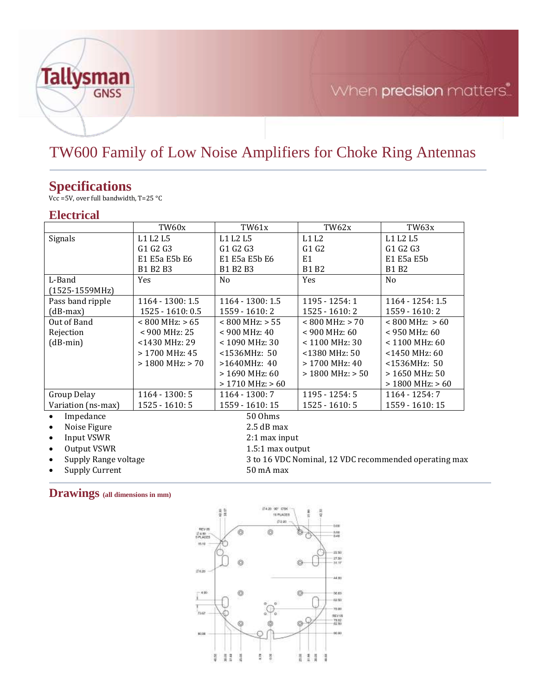

# When precision matters.

## TW600 Family of Low Noise Amplifiers for Choke Ring Antennas

## **Specifications**

Vcc =5V, over full bandwidth, T=25 °C

## **Electrical**

|                                    | TW60x                | TW61x                                                 | TW62x               | TW63x                        |  |
|------------------------------------|----------------------|-------------------------------------------------------|---------------------|------------------------------|--|
| Signals                            | L1 L2 L5             | L1 L2 L5                                              | L1L2                | L1 L2 L5                     |  |
|                                    | G1 G2 G3             | G1 G2 G3                                              | G1G2                | G1 G2 G3                     |  |
|                                    | E1 E5a E5b E6        | E1 E5a E5b E6                                         | E1                  | E1 E5a E5b                   |  |
|                                    | B1 B2 B3             | B1 B2 B3                                              | B1 B2               | <b>B1 B2</b>                 |  |
| L-Band                             | <b>Yes</b>           | N <sub>o</sub>                                        | <b>Yes</b>          | N <sub>0</sub>               |  |
| $(1525-1559MHz)$                   |                      |                                                       |                     |                              |  |
| Pass band ripple                   | 1164 - 1300: 1.5     | 1164 - 1300: 1.5                                      | 1195 - 1254: 1      | 1164 - 1254: 1.5             |  |
| (dB-max)                           | 1525 - 1610: 0.5     | 1559 - 1610: 2                                        | 1525 - 1610: 2      | 1559 - 1610: 2               |  |
| Out of Band                        | $< 800$ MHz: $> 65$  | $< 800$ MHz: $> 55$                                   | $< 800$ MHz: $> 70$ | $< 800 \text{ MHz}$ : $> 60$ |  |
| Rejection                          | < 900 MHz: 25        | $< 900$ MHz: 40                                       | $< 900$ MHz: 60     | $< 950$ MHz: 60              |  |
| $(dB-min)$                         | <1430 MHz: 29        | < 1090 MHz: 30                                        | $< 1100$ MHz: 30    | $< 1100$ MHz: 60             |  |
|                                    | $> 1700$ MHz: 45     | $<$ 1536MHz: 50                                       | $<$ 1380 MHz: 50    | <1450 MHz: 60                |  |
|                                    | $>$ 1800 MHz: $>$ 70 | $>1640MHz$ : 40                                       | $> 1700$ MHz: 40    | <1536MHz: 50                 |  |
|                                    |                      | $> 1690$ MHz: 60                                      | $>1800$ MHz: $>50$  | $>1650$ MHz: 50              |  |
|                                    |                      | $>1710$ MHz: $>60$                                    |                     | $>$ 1800 MHz: $>$ 60         |  |
| Group Delay                        | $1164 - 1300:5$      | 1164 - 1300: 7                                        | 1195 - 1254: 5      | $1164 - 1254:7$              |  |
| Variation (ns-max)                 | $1525 - 1610:5$      | 1559 - 1610: 15                                       | $1525 - 1610:5$     | 1559 - 1610: 15              |  |
| Impedance<br>$\bullet$             |                      | 50 Ohms                                               |                     |                              |  |
| Noise Figure<br>$\bullet$          |                      | $2.5 dB$ max                                          |                     |                              |  |
| Input VSWR<br>$\bullet$            |                      | $2:1$ max input                                       |                     |                              |  |
| Output VSWR<br>$\bullet$           | 1.5:1 max output     |                                                       |                     |                              |  |
| Supply Range voltage<br>$\bullet$  |                      | 3 to 16 VDC Nominal, 12 VDC recommended operating max |                     |                              |  |
| <b>Supply Current</b><br>$\bullet$ |                      | 50 mA max                                             |                     |                              |  |

**Drawings (all dimensions in mm)**